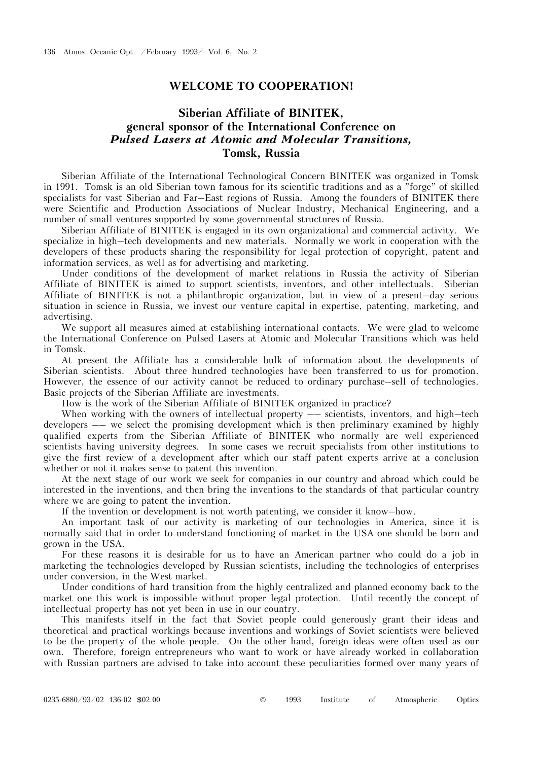## **WELCOME TO COOPERATION!**

## **Siberian Affiliate of BINITEK, general sponsor of the International Conference on**  *Pulsed Lasers at Atomic and Molecular Transitions,* **Tomsk, Russia**

Siberian Affiliate of the International Technological Concern BINITEK was organized in Tomsk in 1991. Tomsk is an old Siberian town famous for its scientific traditions and as a "forge" of skilled specialists for vast Siberian and Far–East regions of Russia. Among the founders of BINITEK there were Scientific and Production Associations of Nuclear Industry, Mechanical Engineering, and a number of small ventures supported by some governmental structures of Russia.

Siberian Affiliate of BINITEK is engaged in its own organizational and commercial activity. We specialize in high–tech developments and new materials. Normally we work in cooperation with the developers of these products sharing the responsibility for legal protection of copyright, patent and information services, as well as for advertising and marketing.

Under conditions of the development of market relations in Russia the activity of Siberian Affiliate of BINITEK is aimed to support scientists, inventors, and other intellectuals. Siberian Affiliate of BINITEK is not a philanthropic organization, but in view of a present–day serious situation in science in Russia, we invest our venture capital in expertise, patenting, marketing, and advertising.

We support all measures aimed at establishing international contacts. We were glad to welcome the International Conference on Pulsed Lasers at Atomic and Molecular Transitions which was held in Tomsk.

At present the Affiliate has a considerable bulk of information about the developments of Siberian scientists. About three hundred technologies have been transferred to us for promotion. However, the essence of our activity cannot be reduced to ordinary purchase–sell of technologies. Basic projects of the Siberian Affiliate are investments.

How is the work of the Siberian Affiliate of BINITEK organized in practice?

When working with the owners of intellectual property —– scientists, inventors, and high–tech developers –– we select the promising development which is then preliminary examined by highly qualified experts from the Siberian Affiliate of BINITEK who normally are well experienced scientists having university degrees. In some cases we recruit specialists from other institutions to give the first review of a development after which our staff patent experts arrive at a conclusion whether or not it makes sense to patent this invention.

At the next stage of our work we seek for companies in our country and abroad which could be interested in the inventions, and then bring the inventions to the standards of that particular country where we are going to patent the invention.

If the invention or development is not worth patenting, we consider it know–how.

An important task of our activity is marketing of our technologies in America, since it is normally said that in order to understand functioning of market in the USA one should be born and grown in the USA.

For these reasons it is desirable for us to have an American partner who could do a job in marketing the technologies developed by Russian scientists, including the technologies of enterprises under conversion, in the West market.

Under conditions of hard transition from the highly centralized and planned economy back to the market one this work is impossible without proper legal protection. Until recently the concept of intellectual property has not yet been in use in our country.

This manifests itself in the fact that Soviet people could generously grant their ideas and theoretical and practical workings because inventions and workings of Soviet scientists were believed to be the property of the whole people. On the other hand, foreign ideas were often used as our own. Therefore, foreign entrepreneurs who want to work or have already worked in collaboration with Russian partners are advised to take into account these peculiarities formed over many years of